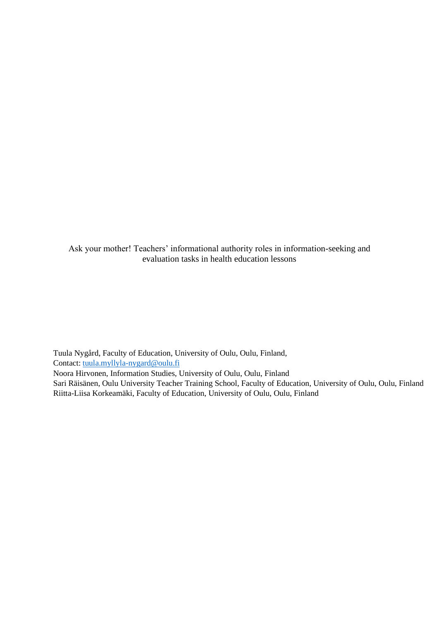Ask your mother! Teachers' informational authority roles in information-seeking and evaluation tasks in health education lessons

Tuula Nygård, Faculty of Education, University of Oulu, Oulu, Finland, Contact: [tuula.myllyla-nygard@oulu.fi](mailto:tuula.myllyla-nygard@oulu.fi)

Noora Hirvonen, Information Studies, University of Oulu, Oulu, Finland

Sari Räisänen, Oulu University Teacher Training School, Faculty of Education, University of Oulu, Oulu, Finland Riitta-Liisa Korkeamäki, Faculty of Education, University of Oulu, Oulu, Finland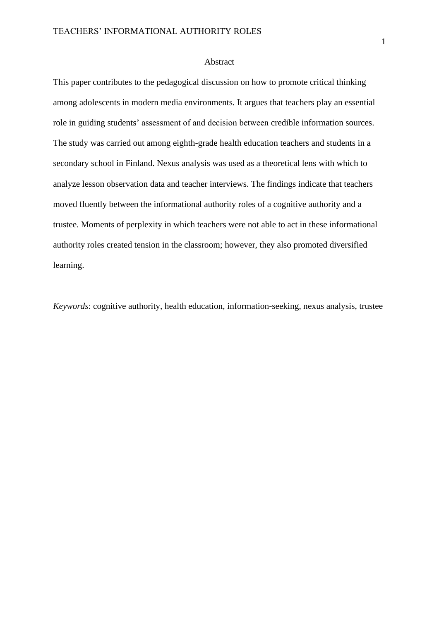## Abstract

This paper contributes to the pedagogical discussion on how to promote critical thinking among adolescents in modern media environments. It argues that teachers play an essential role in guiding students' assessment of and decision between credible information sources. The study was carried out among eighth-grade health education teachers and students in a secondary school in Finland. Nexus analysis was used as a theoretical lens with which to analyze lesson observation data and teacher interviews. The findings indicate that teachers moved fluently between the informational authority roles of a cognitive authority and a trustee. Moments of perplexity in which teachers were not able to act in these informational authority roles created tension in the classroom; however, they also promoted diversified learning.

*Keywords*: cognitive authority, health education, information-seeking, nexus analysis, trustee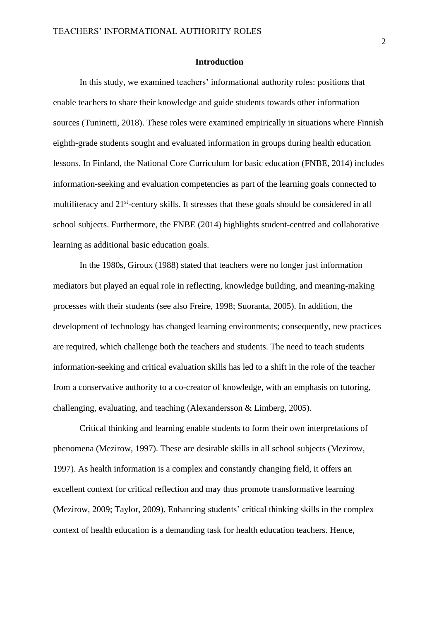### **Introduction**

In this study, we examined teachers' informational authority roles: positions that enable teachers to share their knowledge and guide students towards other information sources (Tuninetti, 2018). These roles were examined empirically in situations where Finnish eighth-grade students sought and evaluated information in groups during health education lessons. In Finland, the National Core Curriculum for basic education (FNBE, 2014) includes information-seeking and evaluation competencies as part of the learning goals connected to multiliteracy and 21<sup>st</sup>-century skills. It stresses that these goals should be considered in all school subjects. Furthermore, the FNBE (2014) highlights student-centred and collaborative learning as additional basic education goals.

In the 1980s, Giroux (1988) stated that teachers were no longer just information mediators but played an equal role in reflecting, knowledge building, and meaning-making processes with their students (see also Freire, 1998; Suoranta, 2005). In addition, the development of technology has changed learning environments; consequently, new practices are required, which challenge both the teachers and students. The need to teach students information-seeking and critical evaluation skills has led to a shift in the role of the teacher from a conservative authority to a co-creator of knowledge, with an emphasis on tutoring, challenging, evaluating, and teaching (Alexandersson & Limberg, 2005).

Critical thinking and learning enable students to form their own interpretations of phenomena (Mezirow, 1997). These are desirable skills in all school subjects (Mezirow, 1997). As health information is a complex and constantly changing field, it offers an excellent context for critical reflection and may thus promote transformative learning (Mezirow, 2009; Taylor, 2009). Enhancing students' critical thinking skills in the complex context of health education is a demanding task for health education teachers. Hence,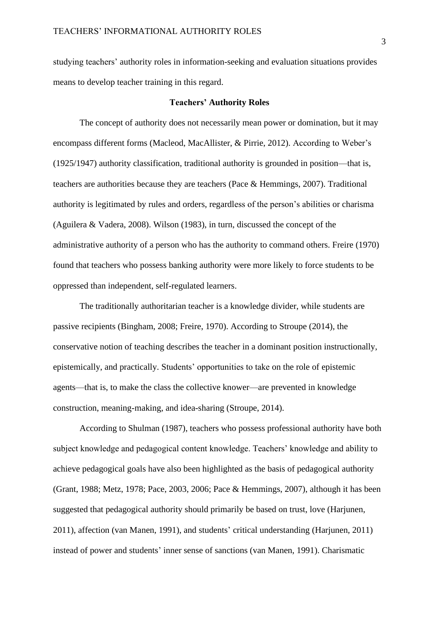studying teachers' authority roles in information-seeking and evaluation situations provides means to develop teacher training in this regard.

## **Teachers' Authority Roles**

The concept of authority does not necessarily mean power or domination, but it may encompass different forms (Macleod, MacAllister, & Pirrie, 2012). According to Weber's (1925/1947) authority classification, traditional authority is grounded in position—that is, teachers are authorities because they are teachers (Pace & Hemmings, 2007). Traditional authority is legitimated by rules and orders, regardless of the person's abilities or charisma (Aguilera & Vadera, 2008). Wilson (1983), in turn, discussed the concept of the administrative authority of a person who has the authority to command others. Freire (1970) found that teachers who possess banking authority were more likely to force students to be oppressed than independent, self-regulated learners.

The traditionally authoritarian teacher is a knowledge divider, while students are passive recipients (Bingham, 2008; Freire, 1970). According to Stroupe (2014), the conservative notion of teaching describes the teacher in a dominant position instructionally, epistemically, and practically. Students' opportunities to take on the role of epistemic agents—that is, to make the class the collective knower—are prevented in knowledge construction, meaning-making, and idea-sharing (Stroupe, 2014).

According to Shulman (1987), teachers who possess professional authority have both subject knowledge and pedagogical content knowledge. Teachers' knowledge and ability to achieve pedagogical goals have also been highlighted as the basis of pedagogical authority (Grant, 1988; Metz, 1978; Pace, 2003, 2006; Pace & Hemmings, 2007), although it has been suggested that pedagogical authority should primarily be based on trust, love (Harjunen, 2011), affection (van Manen, 1991), and students' critical understanding (Harjunen, 2011) instead of power and students' inner sense of sanctions (van Manen, 1991). Charismatic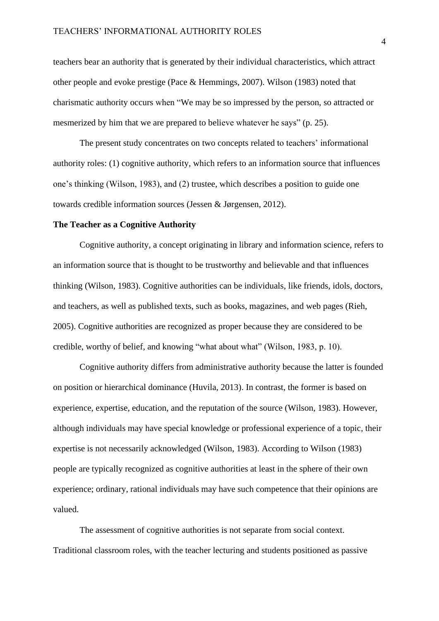teachers bear an authority that is generated by their individual characteristics, which attract other people and evoke prestige (Pace & Hemmings, 2007). Wilson (1983) noted that charismatic authority occurs when "We may be so impressed by the person, so attracted or mesmerized by him that we are prepared to believe whatever he says" (p. 25).

The present study concentrates on two concepts related to teachers' informational authority roles: (1) cognitive authority, which refers to an information source that influences one's thinking (Wilson, 1983), and (2) trustee, which describes a position to guide one towards credible information sources (Jessen & Jørgensen, 2012).

#### **The Teacher as a Cognitive Authority**

Cognitive authority, a concept originating in library and information science, refers to an information source that is thought to be trustworthy and believable and that influences thinking (Wilson, 1983). Cognitive authorities can be individuals, like friends, idols, doctors, and teachers, as well as published texts, such as books, magazines, and web pages (Rieh, 2005). Cognitive authorities are recognized as proper because they are considered to be credible, worthy of belief, and knowing "what about what" (Wilson, 1983, p. 10).

Cognitive authority differs from administrative authority because the latter is founded on position or hierarchical dominance (Huvila, 2013). In contrast, the former is based on experience, expertise, education, and the reputation of the source (Wilson, 1983). However, although individuals may have special knowledge or professional experience of a topic, their expertise is not necessarily acknowledged (Wilson, 1983). According to Wilson (1983) people are typically recognized as cognitive authorities at least in the sphere of their own experience; ordinary, rational individuals may have such competence that their opinions are valued.

The assessment of cognitive authorities is not separate from social context. Traditional classroom roles, with the teacher lecturing and students positioned as passive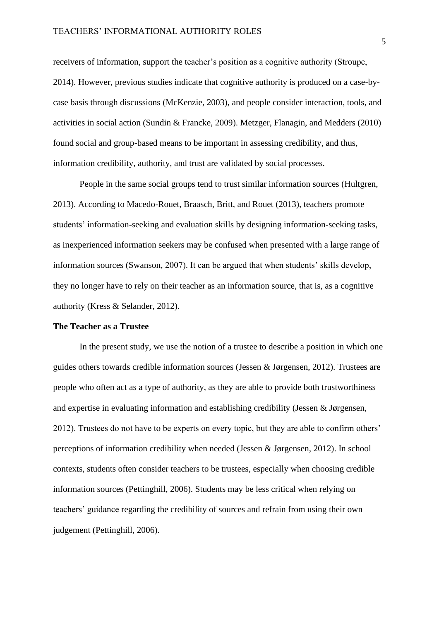receivers of information, support the teacher's position as a cognitive authority (Stroupe, 2014). However, previous studies indicate that cognitive authority is produced on a case-bycase basis through discussions (McKenzie, 2003), and people consider interaction, tools, and activities in social action (Sundin & Francke, 2009). Metzger, Flanagin, and Medders (2010) found social and group-based means to be important in assessing credibility, and thus, information credibility, authority, and trust are validated by social processes.

People in the same social groups tend to trust similar information sources (Hultgren, 2013). According to Macedo-Rouet, Braasch, Britt, and Rouet (2013), teachers promote students' information-seeking and evaluation skills by designing information-seeking tasks, as inexperienced information seekers may be confused when presented with a large range of information sources (Swanson, 2007). It can be argued that when students' skills develop, they no longer have to rely on their teacher as an information source, that is, as a cognitive authority (Kress & Selander, 2012).

## **The Teacher as a Trustee**

In the present study, we use the notion of a trustee to describe a position in which one guides others towards credible information sources (Jessen & Jørgensen, 2012). Trustees are people who often act as a type of authority, as they are able to provide both trustworthiness and expertise in evaluating information and establishing credibility (Jessen & Jørgensen, 2012). Trustees do not have to be experts on every topic, but they are able to confirm others' perceptions of information credibility when needed (Jessen & Jørgensen, 2012). In school contexts, students often consider teachers to be trustees, especially when choosing credible information sources (Pettinghill, 2006). Students may be less critical when relying on teachers' guidance regarding the credibility of sources and refrain from using their own judgement (Pettinghill, 2006).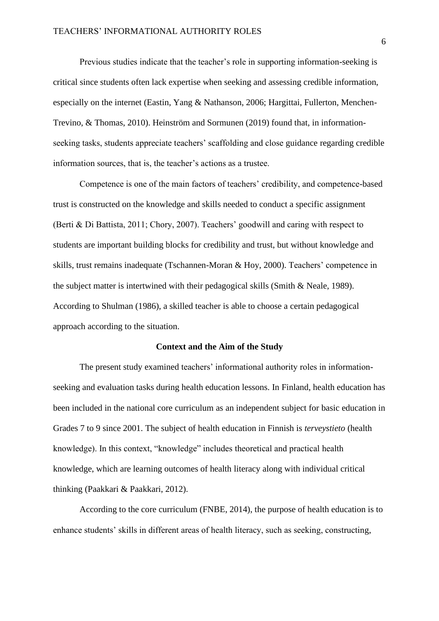Previous studies indicate that the teacher's role in supporting information-seeking is critical since students often lack expertise when seeking and assessing credible information, especially on the internet (Eastin, Yang & Nathanson, 2006; Hargittai, Fullerton, Menchen-Trevino, & Thomas, 2010). Heinström and Sormunen (2019) found that, in informationseeking tasks, students appreciate teachers' scaffolding and close guidance regarding credible information sources, that is, the teacher's actions as a trustee.

Competence is one of the main factors of teachers' credibility, and competence-based trust is constructed on the knowledge and skills needed to conduct a specific assignment (Berti & Di Battista, 2011; Chory, 2007). Teachers' goodwill and caring with respect to students are important building blocks for credibility and trust, but without knowledge and skills, trust remains inadequate (Tschannen-Moran & Hoy, 2000). Teachers' competence in the subject matter is intertwined with their pedagogical skills (Smith & Neale, 1989). According to Shulman (1986), a skilled teacher is able to choose a certain pedagogical approach according to the situation.

#### **Context and the Aim of the Study**

The present study examined teachers' informational authority roles in informationseeking and evaluation tasks during health education lessons. In Finland, health education has been included in the national core curriculum as an independent subject for basic education in Grades 7 to 9 since 2001. The subject of health education in Finnish is *terveystieto* (health knowledge). In this context, "knowledge" includes theoretical and practical health knowledge, which are learning outcomes of health literacy along with individual critical thinking (Paakkari & Paakkari, 2012).

According to the core curriculum (FNBE, 2014), the purpose of health education is to enhance students' skills in different areas of health literacy, such as seeking, constructing,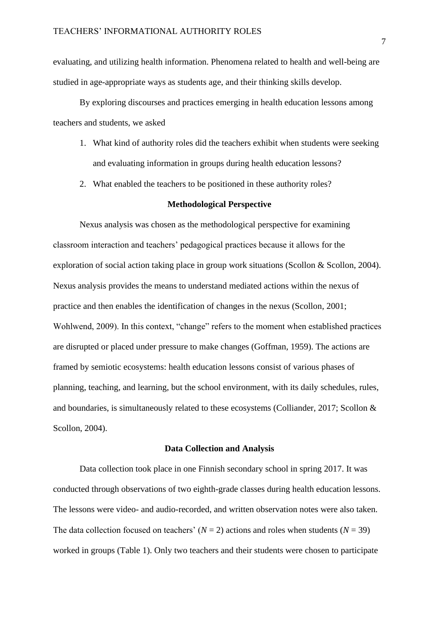evaluating, and utilizing health information. Phenomena related to health and well-being are studied in age-appropriate ways as students age, and their thinking skills develop.

By exploring discourses and practices emerging in health education lessons among teachers and students, we asked

- 1. What kind of authority roles did the teachers exhibit when students were seeking and evaluating information in groups during health education lessons?
- 2. What enabled the teachers to be positioned in these authority roles?

# **Methodological Perspective**

Nexus analysis was chosen as the methodological perspective for examining classroom interaction and teachers' pedagogical practices because it allows for the exploration of social action taking place in group work situations (Scollon & Scollon, 2004). Nexus analysis provides the means to understand mediated actions within the nexus of practice and then enables the identification of changes in the nexus (Scollon, 2001; Wohlwend, 2009). In this context, "change" refers to the moment when established practices are disrupted or placed under pressure to make changes (Goffman, 1959). The actions are framed by semiotic ecosystems: health education lessons consist of various phases of planning, teaching, and learning, but the school environment, with its daily schedules, rules, and boundaries, is simultaneously related to these ecosystems (Colliander, 2017; Scollon & Scollon, 2004).

#### **Data Collection and Analysis**

Data collection took place in one Finnish secondary school in spring 2017. It was conducted through observations of two eighth-grade classes during health education lessons. The lessons were video- and audio-recorded, and written observation notes were also taken. The data collection focused on teachers'  $(N = 2)$  actions and roles when students  $(N = 39)$ worked in groups (Table 1). Only two teachers and their students were chosen to participate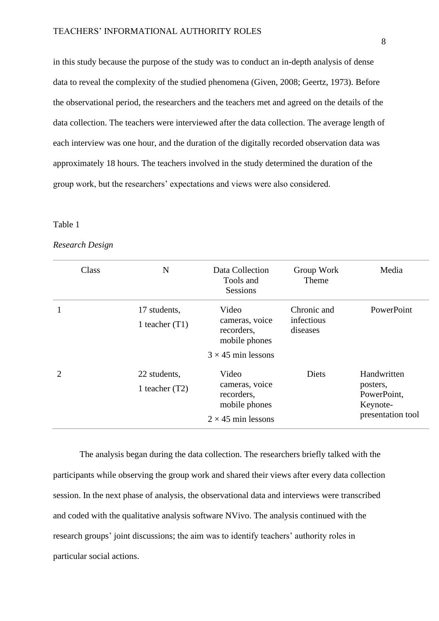in this study because the purpose of the study was to conduct an in-depth analysis of dense data to reveal the complexity of the studied phenomena (Given, 2008; Geertz, 1973). Before the observational period, the researchers and the teachers met and agreed on the details of the data collection. The teachers were interviewed after the data collection. The average length of each interview was one hour, and the duration of the digitally recorded observation data was approximately 18 hours. The teachers involved in the study determined the duration of the group work, but the researchers' expectations and views were also considered.

## Table 1

### *Research Design*

| Class                       | N                                | Data Collection<br>Tools and<br>Sessions                                            | Group Work<br>Theme                   | Media                                                                   |
|-----------------------------|----------------------------------|-------------------------------------------------------------------------------------|---------------------------------------|-------------------------------------------------------------------------|
|                             | 17 students,<br>1 teacher $(T1)$ | Video<br>cameras, voice<br>recorders,<br>mobile phones                              | Chronic and<br>infectious<br>diseases | PowerPoint                                                              |
|                             |                                  | $3 \times 45$ min lessons                                                           |                                       |                                                                         |
| $\mathcal{D}_{\mathcal{L}}$ | 22 students,<br>1 teacher $(T2)$ | Video<br>cameras, voice<br>recorders,<br>mobile phones<br>$2 \times 45$ min lessons | <b>Diets</b>                          | Handwritten<br>posters,<br>PowerPoint,<br>Keynote-<br>presentation tool |

The analysis began during the data collection. The researchers briefly talked with the participants while observing the group work and shared their views after every data collection session. In the next phase of analysis, the observational data and interviews were transcribed and coded with the qualitative analysis software NVivo. The analysis continued with the research groups' joint discussions; the aim was to identify teachers' authority roles in particular social actions.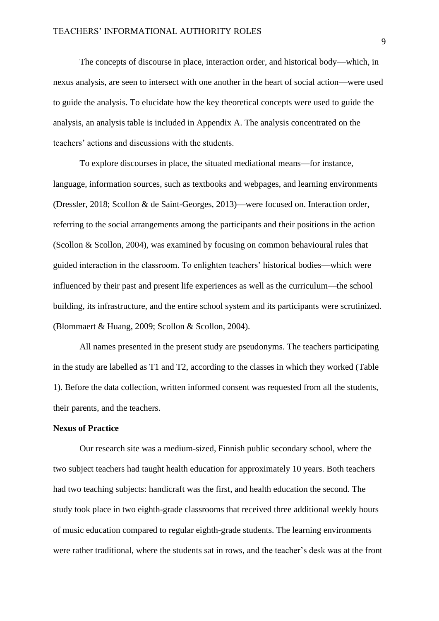The concepts of discourse in place, interaction order, and historical body—which, in nexus analysis, are seen to intersect with one another in the heart of social action—were used to guide the analysis. To elucidate how the key theoretical concepts were used to guide the analysis, an analysis table is included in Appendix A. The analysis concentrated on the teachers' actions and discussions with the students.

To explore discourses in place, the situated mediational means—for instance, language, information sources, such as textbooks and webpages, and learning environments (Dressler, 2018; Scollon & de Saint-Georges, 2013)—were focused on. Interaction order, referring to the social arrangements among the participants and their positions in the action (Scollon & Scollon, 2004), was examined by focusing on common behavioural rules that guided interaction in the classroom. To enlighten teachers' historical bodies—which were influenced by their past and present life experiences as well as the curriculum—the school building, its infrastructure, and the entire school system and its participants were scrutinized. (Blommaert & Huang, 2009; Scollon & Scollon, 2004).

All names presented in the present study are pseudonyms. The teachers participating in the study are labelled as T1 and T2, according to the classes in which they worked (Table 1). Before the data collection, written informed consent was requested from all the students, their parents, and the teachers.

## **Nexus of Practice**

Our research site was a medium-sized, Finnish public secondary school, where the two subject teachers had taught health education for approximately 10 years. Both teachers had two teaching subjects: handicraft was the first, and health education the second. The study took place in two eighth-grade classrooms that received three additional weekly hours of music education compared to regular eighth-grade students. The learning environments were rather traditional, where the students sat in rows, and the teacher's desk was at the front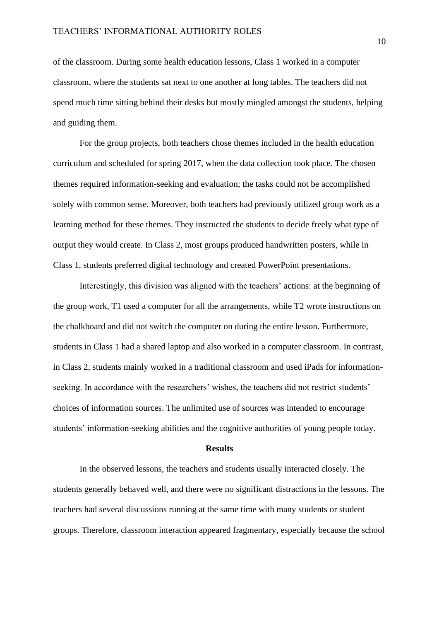of the classroom. During some health education lessons, Class 1 worked in a computer classroom, where the students sat next to one another at long tables. The teachers did not spend much time sitting behind their desks but mostly mingled amongst the students, helping and guiding them.

For the group projects, both teachers chose themes included in the health education curriculum and scheduled for spring 2017, when the data collection took place. The chosen themes required information-seeking and evaluation; the tasks could not be accomplished solely with common sense. Moreover, both teachers had previously utilized group work as a learning method for these themes. They instructed the students to decide freely what type of output they would create. In Class 2, most groups produced handwritten posters, while in Class 1, students preferred digital technology and created PowerPoint presentations.

Interestingly, this division was aligned with the teachers' actions: at the beginning of the group work, T1 used a computer for all the arrangements, while T2 wrote instructions on the chalkboard and did not switch the computer on during the entire lesson. Furthermore, students in Class 1 had a shared laptop and also worked in a computer classroom. In contrast, in Class 2, students mainly worked in a traditional classroom and used iPads for informationseeking. In accordance with the researchers' wishes, the teachers did not restrict students' choices of information sources. The unlimited use of sources was intended to encourage students' information-seeking abilities and the cognitive authorities of young people today.

# **Results**

In the observed lessons, the teachers and students usually interacted closely. The students generally behaved well, and there were no significant distractions in the lessons. The teachers had several discussions running at the same time with many students or student groups. Therefore, classroom interaction appeared fragmentary, especially because the school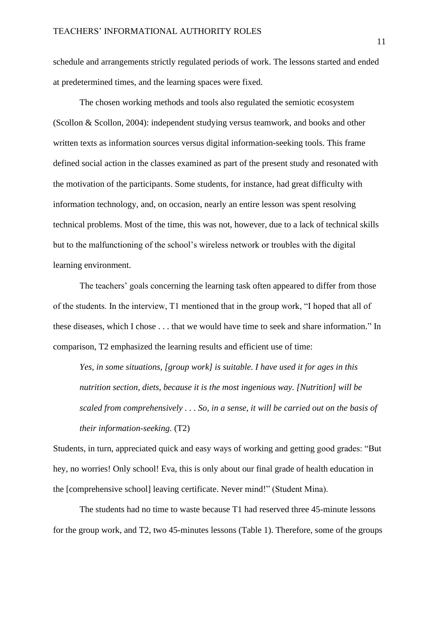schedule and arrangements strictly regulated periods of work. The lessons started and ended at predetermined times, and the learning spaces were fixed.

The chosen working methods and tools also regulated the semiotic ecosystem (Scollon & Scollon, 2004): independent studying versus teamwork, and books and other written texts as information sources versus digital information-seeking tools. This frame defined social action in the classes examined as part of the present study and resonated with the motivation of the participants. Some students, for instance, had great difficulty with information technology, and, on occasion, nearly an entire lesson was spent resolving technical problems. Most of the time, this was not, however, due to a lack of technical skills but to the malfunctioning of the school's wireless network or troubles with the digital learning environment.

The teachers' goals concerning the learning task often appeared to differ from those of the students. In the interview, T1 mentioned that in the group work, "I hoped that all of these diseases, which I chose . . . that we would have time to seek and share information." In comparison, T2 emphasized the learning results and efficient use of time:

*Yes, in some situations, [group work] is suitable. I have used it for ages in this nutrition section, diets, because it is the most ingenious way. [Nutrition] will be scaled from comprehensively . . . So, in a sense, it will be carried out on the basis of their information-seeking.* (T2)

Students, in turn, appreciated quick and easy ways of working and getting good grades: "But hey, no worries! Only school! Eva, this is only about our final grade of health education in the [comprehensive school] leaving certificate. Never mind!" (Student Mina).

The students had no time to waste because T1 had reserved three 45-minute lessons for the group work, and T2, two 45-minutes lessons (Table 1). Therefore, some of the groups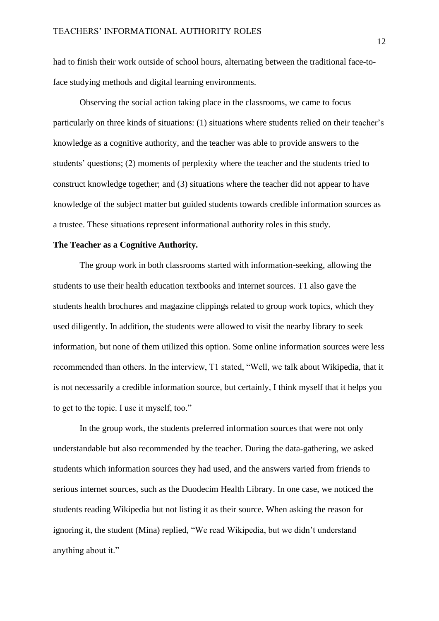had to finish their work outside of school hours, alternating between the traditional face-toface studying methods and digital learning environments.

Observing the social action taking place in the classrooms, we came to focus particularly on three kinds of situations: (1) situations where students relied on their teacher's knowledge as a cognitive authority, and the teacher was able to provide answers to the students' questions; (2) moments of perplexity where the teacher and the students tried to construct knowledge together; and (3) situations where the teacher did not appear to have knowledge of the subject matter but guided students towards credible information sources as a trustee. These situations represent informational authority roles in this study.

#### **The Teacher as a Cognitive Authority.**

The group work in both classrooms started with information-seeking, allowing the students to use their health education textbooks and internet sources. T1 also gave the students health brochures and magazine clippings related to group work topics, which they used diligently. In addition, the students were allowed to visit the nearby library to seek information, but none of them utilized this option. Some online information sources were less recommended than others. In the interview, T1 stated, "Well, we talk about Wikipedia, that it is not necessarily a credible information source, but certainly, I think myself that it helps you to get to the topic. I use it myself, too."

In the group work, the students preferred information sources that were not only understandable but also recommended by the teacher. During the data-gathering, we asked students which information sources they had used, and the answers varied from friends to serious internet sources, such as the Duodecim Health Library. In one case, we noticed the students reading Wikipedia but not listing it as their source. When asking the reason for ignoring it, the student (Mina) replied, "We read Wikipedia, but we didn't understand anything about it."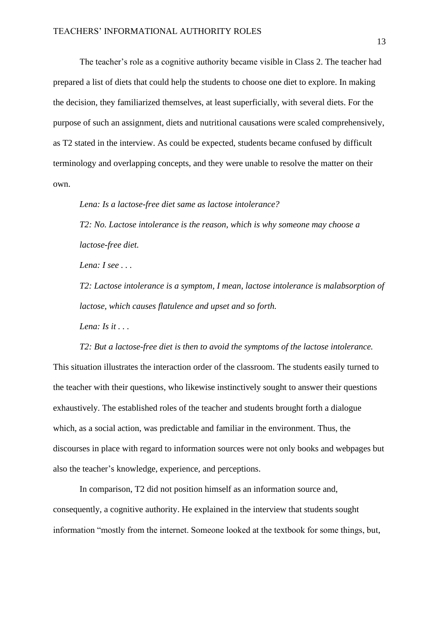The teacher's role as a cognitive authority became visible in Class 2. The teacher had prepared a list of diets that could help the students to choose one diet to explore. In making the decision, they familiarized themselves, at least superficially, with several diets. For the purpose of such an assignment, diets and nutritional causations were scaled comprehensively, as T2 stated in the interview. As could be expected, students became confused by difficult terminology and overlapping concepts, and they were unable to resolve the matter on their own.

*Lena: Is a lactose-free diet same as lactose intolerance?*

*T2: No. Lactose intolerance is the reason, which is why someone may choose a lactose-free diet.*

*Lena: I see . . .*

*T2: Lactose intolerance is a symptom, I mean, lactose intolerance is malabsorption of lactose, which causes flatulence and upset and so forth.*

*Lena: Is it . . .*

*T2: But a lactose-free diet is then to avoid the symptoms of the lactose intolerance.* This situation illustrates the interaction order of the classroom. The students easily turned to the teacher with their questions, who likewise instinctively sought to answer their questions exhaustively. The established roles of the teacher and students brought forth a dialogue which, as a social action, was predictable and familiar in the environment. Thus, the discourses in place with regard to information sources were not only books and webpages but also the teacher's knowledge, experience, and perceptions.

In comparison, T2 did not position himself as an information source and, consequently, a cognitive authority. He explained in the interview that students sought information "mostly from the internet. Someone looked at the textbook for some things, but,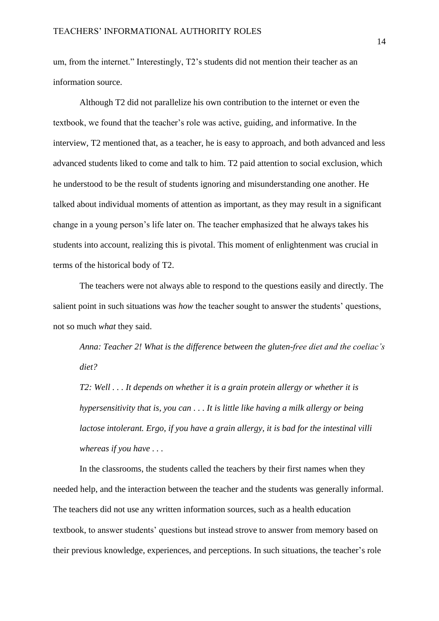um, from the internet." Interestingly, T2's students did not mention their teacher as an information source.

Although T2 did not parallelize his own contribution to the internet or even the textbook, we found that the teacher's role was active, guiding, and informative. In the interview, T2 mentioned that, as a teacher, he is easy to approach, and both advanced and less advanced students liked to come and talk to him. T2 paid attention to social exclusion, which he understood to be the result of students ignoring and misunderstanding one another. He talked about individual moments of attention as important, as they may result in a significant change in a young person's life later on. The teacher emphasized that he always takes his students into account, realizing this is pivotal. This moment of enlightenment was crucial in terms of the historical body of T2.

The teachers were not always able to respond to the questions easily and directly. The salient point in such situations was *how* the teacher sought to answer the students' questions, not so much *what* they said.

*Anna: Teacher 2! What is the difference between the gluten-free diet and the coeliac's diet?*

*T2: Well . . . It depends on whether it is a grain protein allergy or whether it is hypersensitivity that is, you can . . . It is little like having a milk allergy or being lactose intolerant. Ergo, if you have a grain allergy, it is bad for the intestinal villi whereas if you have . . .*

In the classrooms, the students called the teachers by their first names when they needed help, and the interaction between the teacher and the students was generally informal. The teachers did not use any written information sources, such as a health education textbook, to answer students' questions but instead strove to answer from memory based on their previous knowledge, experiences, and perceptions. In such situations, the teacher's role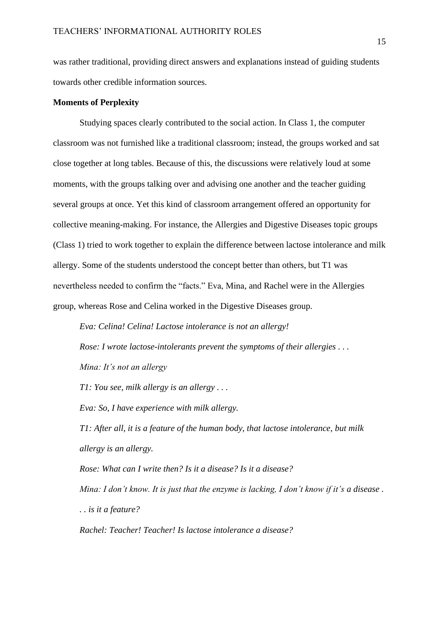was rather traditional, providing direct answers and explanations instead of guiding students towards other credible information sources.

# **Moments of Perplexity**

Studying spaces clearly contributed to the social action. In Class 1, the computer classroom was not furnished like a traditional classroom; instead, the groups worked and sat close together at long tables. Because of this, the discussions were relatively loud at some moments, with the groups talking over and advising one another and the teacher guiding several groups at once. Yet this kind of classroom arrangement offered an opportunity for collective meaning-making. For instance, the Allergies and Digestive Diseases topic groups (Class 1) tried to work together to explain the difference between lactose intolerance and milk allergy. Some of the students understood the concept better than others, but T1 was nevertheless needed to confirm the "facts." Eva, Mina, and Rachel were in the Allergies group, whereas Rose and Celina worked in the Digestive Diseases group.

*Eva: Celina! Celina! Lactose intolerance is not an allergy! Rose: I wrote lactose-intolerants prevent the symptoms of their allergies . . . Mina: It's not an allergy*

*T1: You see, milk allergy is an allergy . . .*

*Eva: So, I have experience with milk allergy.*

*T1: After all, it is a feature of the human body, that lactose intolerance, but milk allergy is an allergy.*

*Rose: What can I write then? Is it a disease? Is it a disease?*

*Mina: I don't know. It is just that the enzyme is lacking, I don't know if it's a disease . . . is it a feature?*

*Rachel: Teacher! Teacher! Is lactose intolerance a disease?*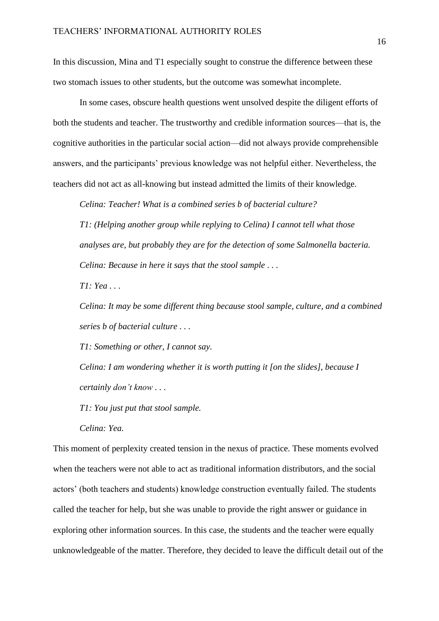In this discussion, Mina and T1 especially sought to construe the difference between these two stomach issues to other students, but the outcome was somewhat incomplete.

In some cases, obscure health questions went unsolved despite the diligent efforts of both the students and teacher. The trustworthy and credible information sources—that is, the cognitive authorities in the particular social action—did not always provide comprehensible answers, and the participants' previous knowledge was not helpful either. Nevertheless, the teachers did not act as all-knowing but instead admitted the limits of their knowledge.

*Celina: Teacher! What is a combined series b of bacterial culture?*

*T1: (Helping another group while replying to Celina) I cannot tell what those analyses are, but probably they are for the detection of some Salmonella bacteria. Celina: Because in here it says that the stool sample . . .*

*T1: Yea . . .*

*Celina: It may be some different thing because stool sample, culture, and a combined series b of bacterial culture . . .*

*T1: Something or other, I cannot say.*

*Celina: I am wondering whether it is worth putting it [on the slides], because I certainly don't know . . .*

*T1: You just put that stool sample.*

*Celina: Yea.*

This moment of perplexity created tension in the nexus of practice. These moments evolved when the teachers were not able to act as traditional information distributors, and the social actors' (both teachers and students) knowledge construction eventually failed. The students called the teacher for help, but she was unable to provide the right answer or guidance in exploring other information sources. In this case, the students and the teacher were equally unknowledgeable of the matter. Therefore, they decided to leave the difficult detail out of the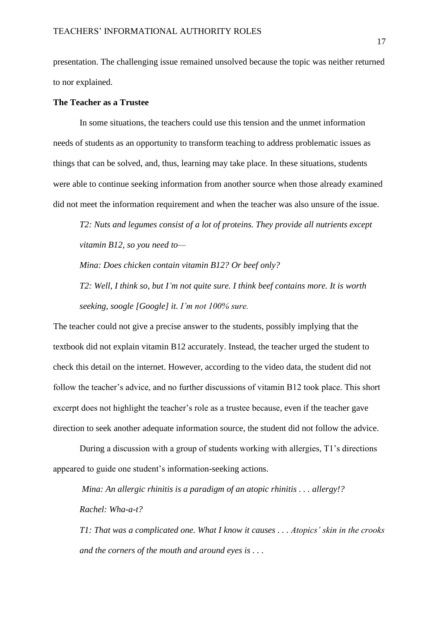presentation. The challenging issue remained unsolved because the topic was neither returned to nor explained.

# **The Teacher as a Trustee**

In some situations, the teachers could use this tension and the unmet information needs of students as an opportunity to transform teaching to address problematic issues as things that can be solved, and, thus, learning may take place. In these situations, students were able to continue seeking information from another source when those already examined did not meet the information requirement and when the teacher was also unsure of the issue.

*T2: Nuts and legumes consist of a lot of proteins. They provide all nutrients except vitamin B12, so you need to—*

*Mina: Does chicken contain vitamin B12? Or beef only?*

*T2: Well, I think so, but I'm not quite sure. I think beef contains more. It is worth seeking, soogle [Google] it. I'm not 100% sure.*

The teacher could not give a precise answer to the students, possibly implying that the textbook did not explain vitamin B12 accurately. Instead, the teacher urged the student to check this detail on the internet. However, according to the video data, the student did not follow the teacher's advice, and no further discussions of vitamin B12 took place. This short excerpt does not highlight the teacher's role as a trustee because, even if the teacher gave direction to seek another adequate information source, the student did not follow the advice.

During a discussion with a group of students working with allergies, T1's directions appeared to guide one student's information-seeking actions.

*Mina: An allergic rhinitis is a paradigm of an atopic rhinitis . . . allergy!? Rachel: Wha-a-t?*

*T1: That was a complicated one. What I know it causes . . . Atopics' skin in the crooks and the corners of the mouth and around eyes is . . .*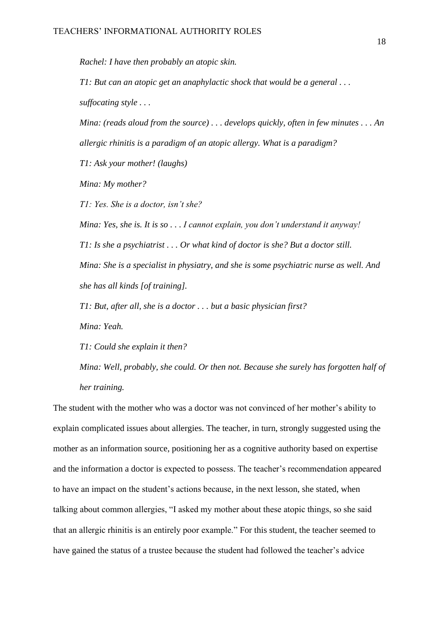*Rachel: I have then probably an atopic skin.*

*T1: But can an atopic get an anaphylactic shock that would be a general . . . suffocating style . . .*

*Mina: (reads aloud from the source) . . . develops quickly, often in few minutes . . . An allergic rhinitis is a paradigm of an atopic allergy. What is a paradigm?*

*T1: Ask your mother! (laughs)*

*Mina: My mother?*

*T1: Yes. She is a doctor, isn't she?*

*Mina: Yes, she is. It is so . . . I cannot explain, you don't understand it anyway! T1: Is she a psychiatrist . . . Or what kind of doctor is she? But a doctor still. Mina: She is a specialist in physiatry, and she is some psychiatric nurse as well. And she has all kinds [of training].*

*T1: But, after all, she is a doctor . . . but a basic physician first?*

*Mina: Yeah.*

*T1: Could she explain it then?*

*Mina: Well, probably, she could. Or then not. Because she surely has forgotten half of her training.*

The student with the mother who was a doctor was not convinced of her mother's ability to explain complicated issues about allergies. The teacher, in turn, strongly suggested using the mother as an information source, positioning her as a cognitive authority based on expertise and the information a doctor is expected to possess. The teacher's recommendation appeared to have an impact on the student's actions because, in the next lesson, she stated, when talking about common allergies, "I asked my mother about these atopic things, so she said that an allergic rhinitis is an entirely poor example." For this student, the teacher seemed to have gained the status of a trustee because the student had followed the teacher's advice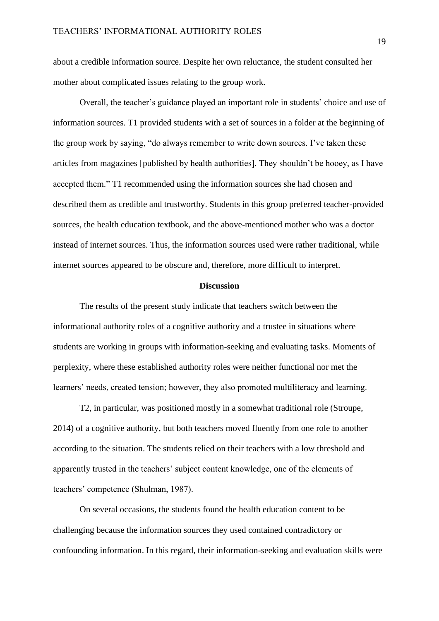about a credible information source. Despite her own reluctance, the student consulted her mother about complicated issues relating to the group work.

Overall, the teacher's guidance played an important role in students' choice and use of information sources. T1 provided students with a set of sources in a folder at the beginning of the group work by saying, "do always remember to write down sources. I've taken these articles from magazines [published by health authorities]. They shouldn't be hooey, as I have accepted them." T1 recommended using the information sources she had chosen and described them as credible and trustworthy. Students in this group preferred teacher-provided sources, the health education textbook, and the above-mentioned mother who was a doctor instead of internet sources. Thus, the information sources used were rather traditional, while internet sources appeared to be obscure and, therefore, more difficult to interpret.

### **Discussion**

The results of the present study indicate that teachers switch between the informational authority roles of a cognitive authority and a trustee in situations where students are working in groups with information-seeking and evaluating tasks. Moments of perplexity, where these established authority roles were neither functional nor met the learners' needs, created tension; however, they also promoted multiliteracy and learning.

T2, in particular, was positioned mostly in a somewhat traditional role (Stroupe, 2014) of a cognitive authority, but both teachers moved fluently from one role to another according to the situation. The students relied on their teachers with a low threshold and apparently trusted in the teachers' subject content knowledge, one of the elements of teachers' competence (Shulman, 1987).

On several occasions, the students found the health education content to be challenging because the information sources they used contained contradictory or confounding information. In this regard, their information-seeking and evaluation skills were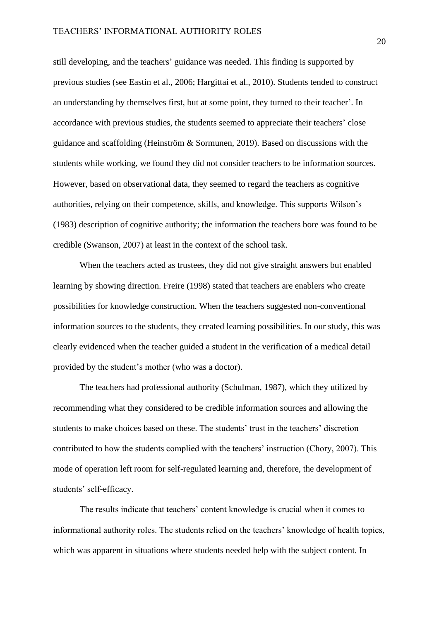still developing, and the teachers' guidance was needed. This finding is supported by previous studies (see Eastin et al., 2006; Hargittai et al., 2010). Students tended to construct an understanding by themselves first, but at some point, they turned to their teacher'. In accordance with previous studies, the students seemed to appreciate their teachers' close guidance and scaffolding (Heinström & Sormunen, 2019). Based on discussions with the students while working, we found they did not consider teachers to be information sources. However, based on observational data, they seemed to regard the teachers as cognitive authorities, relying on their competence, skills, and knowledge. This supports Wilson's (1983) description of cognitive authority; the information the teachers bore was found to be credible (Swanson, 2007) at least in the context of the school task.

When the teachers acted as trustees, they did not give straight answers but enabled learning by showing direction. Freire (1998) stated that teachers are enablers who create possibilities for knowledge construction. When the teachers suggested non-conventional information sources to the students, they created learning possibilities. In our study, this was clearly evidenced when the teacher guided a student in the verification of a medical detail provided by the student's mother (who was a doctor).

The teachers had professional authority (Schulman, 1987), which they utilized by recommending what they considered to be credible information sources and allowing the students to make choices based on these. The students' trust in the teachers' discretion contributed to how the students complied with the teachers' instruction (Chory, 2007). This mode of operation left room for self-regulated learning and, therefore, the development of students' self-efficacy.

The results indicate that teachers' content knowledge is crucial when it comes to informational authority roles. The students relied on the teachers' knowledge of health topics, which was apparent in situations where students needed help with the subject content. In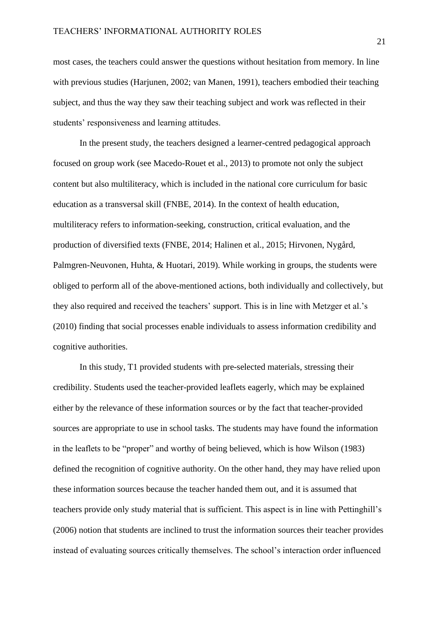most cases, the teachers could answer the questions without hesitation from memory. In line with previous studies (Harjunen, 2002; van Manen, 1991), teachers embodied their teaching subject, and thus the way they saw their teaching subject and work was reflected in their students' responsiveness and learning attitudes.

In the present study, the teachers designed a learner-centred pedagogical approach focused on group work (see Macedo-Rouet et al., 2013) to promote not only the subject content but also multiliteracy, which is included in the national core curriculum for basic education as a transversal skill (FNBE, 2014). In the context of health education, multiliteracy refers to information-seeking, construction, critical evaluation, and the production of diversified texts (FNBE, 2014; Halinen et al., 2015; Hirvonen, Nygård, Palmgren-Neuvonen, Huhta, & Huotari, 2019). While working in groups, the students were obliged to perform all of the above-mentioned actions, both individually and collectively, but they also required and received the teachers' support. This is in line with Metzger et al.'s (2010) finding that social processes enable individuals to assess information credibility and cognitive authorities.

In this study, T1 provided students with pre-selected materials, stressing their credibility. Students used the teacher-provided leaflets eagerly, which may be explained either by the relevance of these information sources or by the fact that teacher-provided sources are appropriate to use in school tasks. The students may have found the information in the leaflets to be "proper" and worthy of being believed, which is how Wilson (1983) defined the recognition of cognitive authority. On the other hand, they may have relied upon these information sources because the teacher handed them out, and it is assumed that teachers provide only study material that is sufficient. This aspect is in line with Pettinghill's (2006) notion that students are inclined to trust the information sources their teacher provides instead of evaluating sources critically themselves. The school's interaction order influenced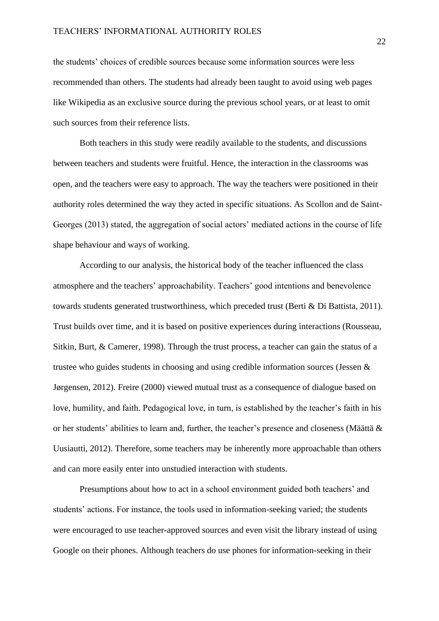the students' choices of credible sources because some information sources were less recommended than others. The students had already been taught to avoid using web pages like Wikipedia as an exclusive source during the previous school years, or at least to omit such sources from their reference lists.

Both teachers in this study were readily available to the students, and discussions between teachers and students were fruitful. Hence, the interaction in the classrooms was open, and the teachers were easy to approach. The way the teachers were positioned in their authority roles determined the way they acted in specific situations. As Scollon and de Saint-Georges (2013) stated, the aggregation of social actors' mediated actions in the course of life shape behaviour and ways of working.

According to our analysis, the historical body of the teacher influenced the class atmosphere and the teachers' approachability. Teachers' good intentions and benevolence towards students generated trustworthiness, which preceded trust (Berti & Di Battista, 2011). Trust builds over time, and it is based on positive experiences during interactions (Rousseau, Sitkin, Burt, & Camerer, 1998). Through the trust process, a teacher can gain the status of a trustee who guides students in choosing and using credible information sources (Jessen & Jørgensen, 2012). Freire (2000) viewed mutual trust as a consequence of dialogue based on love, humility, and faith. Pedagogical love, in turn, is established by the teacher's faith in his or her students' abilities to learn and, further, the teacher's presence and closeness (Määttä & Uusiautti, 2012). Therefore, some teachers may be inherently more approachable than others and can more easily enter into unstudied interaction with students.

Presumptions about how to act in a school environment guided both teachers' and students' actions. For instance, the tools used in information-seeking varied; the students were encouraged to use teacher-approved sources and even visit the library instead of using Google on their phones. Although teachers do use phones for information-seeking in their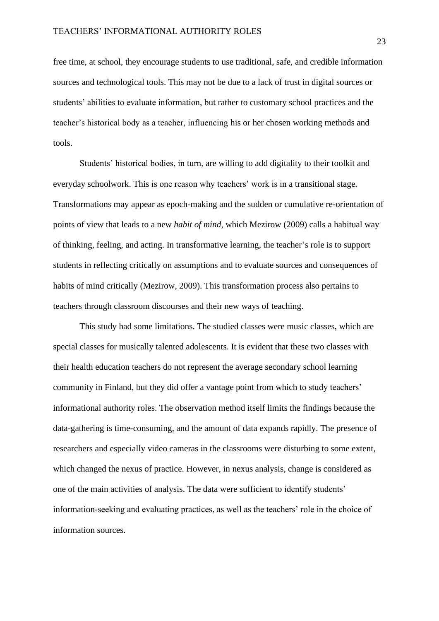free time, at school, they encourage students to use traditional, safe, and credible information sources and technological tools. This may not be due to a lack of trust in digital sources or students' abilities to evaluate information, but rather to customary school practices and the teacher's historical body as a teacher, influencing his or her chosen working methods and tools.

Students' historical bodies, in turn, are willing to add digitality to their toolkit and everyday schoolwork. This is one reason why teachers' work is in a transitional stage. Transformations may appear as epoch-making and the sudden or cumulative re-orientation of points of view that leads to a new *habit of mind*, which Mezirow (2009) calls a habitual way of thinking, feeling, and acting. In transformative learning, the teacher's role is to support students in reflecting critically on assumptions and to evaluate sources and consequences of habits of mind critically (Mezirow, 2009). This transformation process also pertains to teachers through classroom discourses and their new ways of teaching.

This study had some limitations. The studied classes were music classes, which are special classes for musically talented adolescents. It is evident that these two classes with their health education teachers do not represent the average secondary school learning community in Finland, but they did offer a vantage point from which to study teachers' informational authority roles. The observation method itself limits the findings because the data-gathering is time-consuming, and the amount of data expands rapidly. The presence of researchers and especially video cameras in the classrooms were disturbing to some extent, which changed the nexus of practice. However, in nexus analysis, change is considered as one of the main activities of analysis. The data were sufficient to identify students' information-seeking and evaluating practices, as well as the teachers' role in the choice of information sources.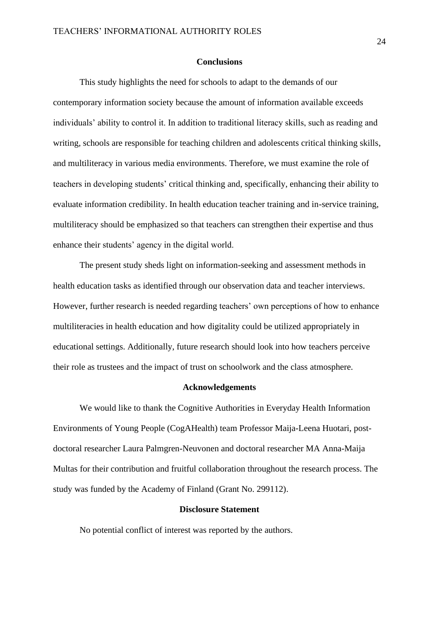### **Conclusions**

This study highlights the need for schools to adapt to the demands of our contemporary information society because the amount of information available exceeds individuals' ability to control it. In addition to traditional literacy skills, such as reading and writing, schools are responsible for teaching children and adolescents critical thinking skills, and multiliteracy in various media environments. Therefore, we must examine the role of teachers in developing students' critical thinking and, specifically, enhancing their ability to evaluate information credibility. In health education teacher training and in-service training, multiliteracy should be emphasized so that teachers can strengthen their expertise and thus enhance their students' agency in the digital world.

The present study sheds light on information-seeking and assessment methods in health education tasks as identified through our observation data and teacher interviews. However, further research is needed regarding teachers' own perceptions of how to enhance multiliteracies in health education and how digitality could be utilized appropriately in educational settings. Additionally, future research should look into how teachers perceive their role as trustees and the impact of trust on schoolwork and the class atmosphere.

## **Acknowledgements**

We would like to thank the Cognitive Authorities in Everyday Health Information Environments of Young People (CogAHealth) team Professor Maija-Leena Huotari, postdoctoral researcher Laura Palmgren-Neuvonen and doctoral researcher MA Anna-Maija Multas for their contribution and fruitful collaboration throughout the research process. The study was funded by the Academy of Finland (Grant No. 299112).

## **Disclosure Statement**

No potential conflict of interest was reported by the authors.

24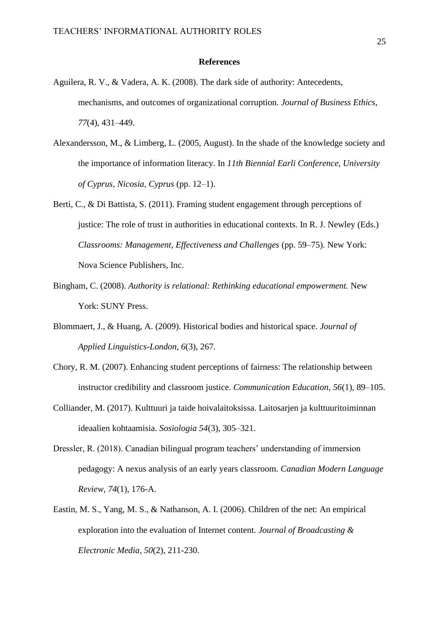#### **References**

- Aguilera, R. V., & Vadera, A. K. (2008). The dark side of authority: Antecedents, mechanisms, and outcomes of organizational corruption. *Journal of Business Ethics, 77*(4), 431–449.
- Alexandersson, M., & Limberg, L. (2005, August). In the shade of the knowledge society and the importance of information literacy. In *11th Biennial Earli Conference, University of Cyprus, Nicosia, Cyprus* (pp. 12–1).
- Berti, C., & Di Battista, S. (2011). Framing student engagement through perceptions of justice: The role of trust in authorities in educational contexts. In R. J. Newley (Eds.) *Classrooms: Management, Effectiveness and Challenges* (pp. 59–75). New York: Nova Science Publishers, Inc.
- Bingham, C. (2008). *Authority is relational: Rethinking educational empowerment.* New York: SUNY Press.
- Blommaert, J., & Huang, A. (2009). Historical bodies and historical space. *Journal of Applied Linguistics-London, 6*(3), 267.
- Chory, R. M. (2007). Enhancing student perceptions of fairness: The relationship between instructor credibility and classroom justice. *Communication Education, 56*(1), 89–105.
- Colliander, M. (2017). Kulttuuri ja taide hoivalaitoksissa. Laitosarjen ja kulttuuritoiminnan ideaalien kohtaamisia. *Sosiologia 54*(3), 305–321.
- Dressler, R. (2018). Canadian bilingual program teachers' understanding of immersion pedagogy: A nexus analysis of an early years classroom. *Canadian Modern Language Review, 74*(1), 176-A.
- Eastin, M. S., Yang, M. S., & Nathanson, A. I. (2006). Children of the net: An empirical exploration into the evaluation of Internet content*. Journal of Broadcasting & Electronic Media, 50*(2), 211-230.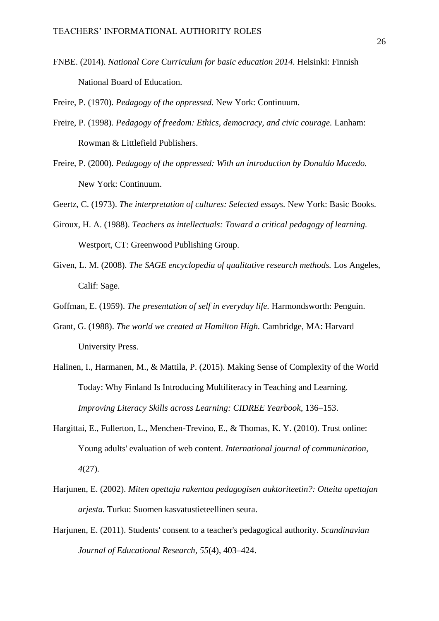FNBE. (2014). *National Core Curriculum for basic education 2014.* Helsinki: Finnish National Board of Education.

Freire, P. (1970). *Pedagogy of the oppressed.* New York: Continuum.

- Freire, P. (1998). *Pedagogy of freedom: Ethics, democracy, and civic courage.* Lanham: Rowman & Littlefield Publishers.
- Freire, P. (2000). *Pedagogy of the oppressed: With an introduction by Donaldo Macedo.* New York: Continuum.

Geertz, C. (1973). *The interpretation of cultures: Selected essays.* New York: Basic Books.

- Giroux, H. A. (1988). *Teachers as intellectuals: Toward a critical pedagogy of learning.* Westport, CT: Greenwood Publishing Group.
- Given, L. M. (2008). *The SAGE encyclopedia of qualitative research methods.* Los Angeles, Calif: Sage.
- Goffman, E. (1959). *The presentation of self in everyday life.* Harmondsworth: Penguin.
- Grant, G. (1988). *The world we created at Hamilton High.* Cambridge, MA: Harvard University Press.
- Halinen, I., Harmanen, M., & Mattila, P. (2015). Making Sense of Complexity of the World Today: Why Finland Is Introducing Multiliteracy in Teaching and Learning. *Improving Literacy Skills across Learning: CIDREE Yearbook*, 136–153.
- Hargittai, E., Fullerton, L., Menchen-Trevino, E., & Thomas, K. Y. (2010). Trust online: Young adults' evaluation of web content. *International journal of communication, 4*(27).
- Harjunen, E. (2002). *Miten opettaja rakentaa pedagogisen auktoriteetin?: Otteita opettajan arjesta.* Turku: Suomen kasvatustieteellinen seura.
- Harjunen, E. (2011). Students' consent to a teacher's pedagogical authority. *Scandinavian Journal of Educational Research, 55*(4), 403–424.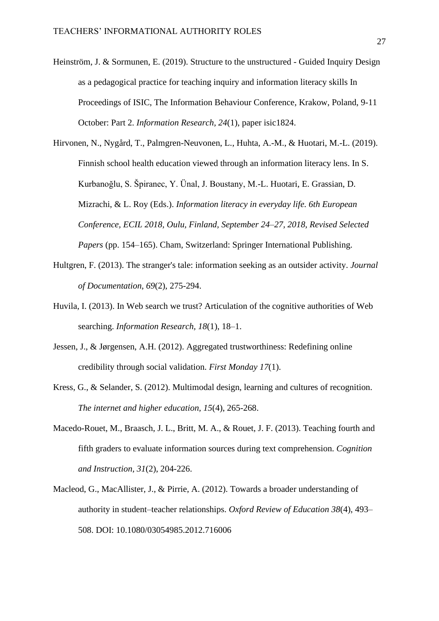- Heinström, J. & Sormunen, E. (2019). Structure to the unstructured Guided Inquiry Design as a pedagogical practice for teaching inquiry and information literacy skills In Proceedings of ISIC, The Information Behaviour Conference, Krakow, Poland, 9-11 October: Part 2. *Information Research, 24*(1), paper isic1824.
- Hirvonen, N., Nygård, T., Palmgren-Neuvonen, L., Huhta, A.-M., & Huotari, M.-L. (2019). Finnish school health education viewed through an information literacy lens. In S. Kurbanoğlu, S. Špiranec, Y. Ünal, J. Boustany, M.-L. Huotari, E. Grassian, D. Mizrachi, & L. Roy (Eds.). *Information literacy in everyday life. 6th European Conference, ECIL 2018, Oulu, Finland, September 24–27, 2018, Revised Selected Papers* (pp. 154–165). Cham, Switzerland: Springer International Publishing.
- Hultgren, F. (2013). The stranger's tale: information seeking as an outsider activity. *Journal of Documentation, 69*(2), 275-294.
- Huvila, I. (2013). In Web search we trust? Articulation of the cognitive authorities of Web searching. *Information Research, 18*(1), 18–1.
- Jessen, J., & Jørgensen, A.H. (2012). Aggregated trustworthiness: Redefining online credibility through social validation. *First Monday 17*(1).
- Kress, G., & Selander, S. (2012). Multimodal design, learning and cultures of recognition. *The internet and higher education, 15*(4), 265-268.
- Macedo-Rouet, M., Braasch, J. L., Britt, M. A., & Rouet, J. F. (2013). Teaching fourth and fifth graders to evaluate information sources during text comprehension. *Cognition and Instruction, 31*(2), 204-226.
- Macleod, G., MacAllister, J., & Pirrie, A. (2012). Towards a broader understanding of authority in student–teacher relationships. *Oxford Review of Education 38*(4), 493– 508. DOI: 10.1080/03054985.2012.716006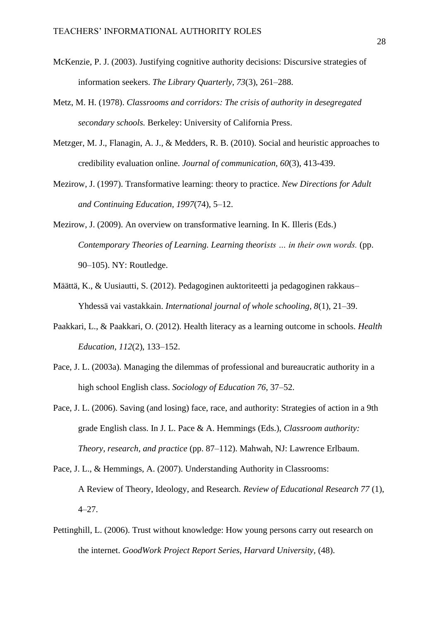- McKenzie, P. J. (2003). Justifying cognitive authority decisions: Discursive strategies of information seekers. *The Library Quarterly, 73*(3), 261–288.
- Metz, M. H. (1978). *Classrooms and corridors: The crisis of authority in desegregated secondary schools.* Berkeley: University of California Press.
- Metzger, M. J., Flanagin, A. J., & Medders, R. B. (2010). Social and heuristic approaches to credibility evaluation online. *Journal of communication, 60*(3), 413-439.
- Mezirow, J. (1997). Transformative learning: theory to practice. *New Directions for Adult and Continuing Education, 1997*(74), 5–12.
- Mezirow, J. (2009). An overview on transformative learning. In K. Illeris (Eds.) *Contemporary Theories of Learning. Learning theorists … in their own words.* (pp. 90–105). NY: Routledge.
- Määttä, K., & Uusiautti, S. (2012). Pedagoginen auktoriteetti ja pedagoginen rakkaus– Yhdessä vai vastakkain. *International journal of whole schooling, 8*(1), 21–39.
- Paakkari, L., & Paakkari, O. (2012). Health literacy as a learning outcome in schools. *Health Education, 112*(2), 133–152.
- Pace, J. L. (2003a). Managing the dilemmas of professional and bureaucratic authority in a high school English class. *Sociology of Education 76*, 37–52.
- Pace, J. L. (2006). Saving (and losing) face, race, and authority: Strategies of action in a 9th grade English class. In J. L. Pace & A. Hemmings (Eds.), *Classroom authority: Theory, research, and practice* (pp. 87–112). Mahwah, NJ: Lawrence Erlbaum.
- Pace, J. L., & Hemmings, A. (2007). Understanding Authority in Classrooms: A Review of Theory, Ideology, and Research. *Review of Educational Research 77* (1), 4–27.
- Pettinghill, L. (2006). Trust without knowledge: How young persons carry out research on the internet. *GoodWork Project Report Series, Harvard University,* (48).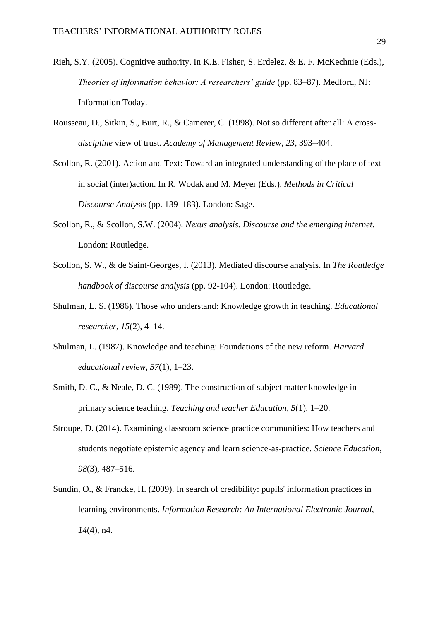- Rieh, S.Y. (2005). Cognitive authority. In K.E. Fisher, S. Erdelez, & E. F. McKechnie (Eds.), *Theories of information behavior: A researchers' guide* (pp. 83–87). Medford, NJ: Information Today.
- Rousseau, D., Sitkin, S., Burt, R., & Camerer, C. (1998). Not so different after all: A cross*discipline* view of trust. *Academy of Management Review, 23*, 393–404.
- Scollon, R. (2001). Action and Text: Toward an integrated understanding of the place of text in social (inter)action. In R. Wodak and M. Meyer (Eds.), *Methods in Critical Discourse Analysis* (pp. 139–183). London: Sage.
- Scollon, R., & Scollon, S.W. (2004). *Nexus analysis. Discourse and the emerging internet.* London: Routledge.
- Scollon, S. W., & de Saint-Georges, I. (2013). Mediated discourse analysis. In *The Routledge handbook of discourse analysis* (pp. 92-104). London: Routledge.
- Shulman, L. S. (1986). Those who understand: Knowledge growth in teaching. *Educational researcher, 15*(2), 4–14.
- Shulman, L. (1987). Knowledge and teaching: Foundations of the new reform. *Harvard educational review, 57*(1), 1–23.
- Smith, D. C., & Neale, D. C. (1989). The construction of subject matter knowledge in primary science teaching. *Teaching and teacher Education, 5*(1), 1–20.
- Stroupe, D. (2014). Examining classroom science practice communities: How teachers and students negotiate epistemic agency and learn science-as-practice. *Science Education, 98*(3), 487–516.
- Sundin, O., & Francke, H. (2009). In search of credibility: pupils' information practices in learning environments. *Information Research: An International Electronic Journal, 14*(4), n4.